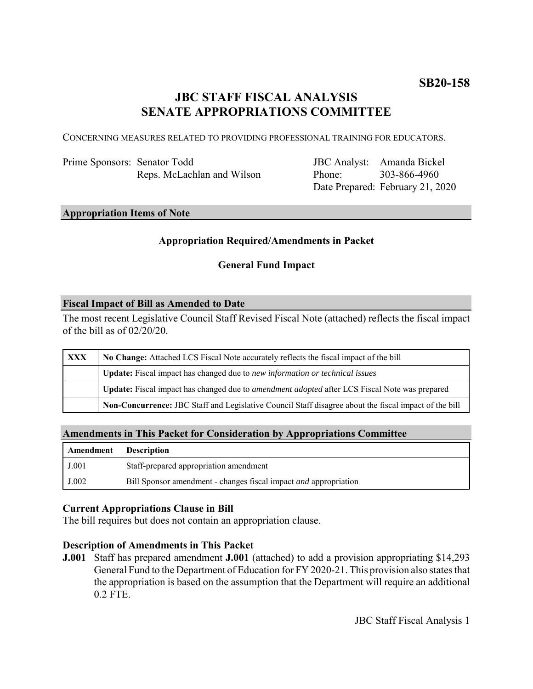# **JBC STAFF FISCAL ANALYSIS SENATE APPROPRIATIONS COMMITTEE**

CONCERNING MEASURES RELATED TO PROVIDING PROFESSIONAL TRAINING FOR EDUCATORS.

Prime Sponsors: Senator Todd Reps. McLachlan and Wilson

JBC Analyst: Amanda Bickel Phone: Date Prepared: February 21, 2020 303-866-4960

# **Appropriation Items of Note**

# **Appropriation Required/Amendments in Packet**

### **General Fund Impact**

#### **Fiscal Impact of Bill as Amended to Date**

The most recent Legislative Council Staff Revised Fiscal Note (attached) reflects the fiscal impact of the bill as of 02/20/20.

| <b>XXX</b> | No Change: Attached LCS Fiscal Note accurately reflects the fiscal impact of the bill                       |
|------------|-------------------------------------------------------------------------------------------------------------|
|            | <b>Update:</b> Fiscal impact has changed due to new information or technical issues                         |
|            | <b>Update:</b> Fiscal impact has changed due to <i>amendment adopted</i> after LCS Fiscal Note was prepared |
|            | Non-Concurrence: JBC Staff and Legislative Council Staff disagree about the fiscal impact of the bill       |

#### **Amendments in This Packet for Consideration by Appropriations Committee**

| Amendment | <b>Description</b>                                                      |
|-----------|-------------------------------------------------------------------------|
| J.001     | Staff-prepared appropriation amendment                                  |
| J.002     | Bill Sponsor amendment - changes fiscal impact <i>and</i> appropriation |

#### **Current Appropriations Clause in Bill**

The bill requires but does not contain an appropriation clause.

### **Description of Amendments in This Packet**

**J.001** Staff has prepared amendment **J.001** (attached) to add a provision appropriating \$14,293 General Fund to the Department of Education for FY 2020-21. This provision also states that the appropriation is based on the assumption that the Department will require an additional 0.2 FTE.